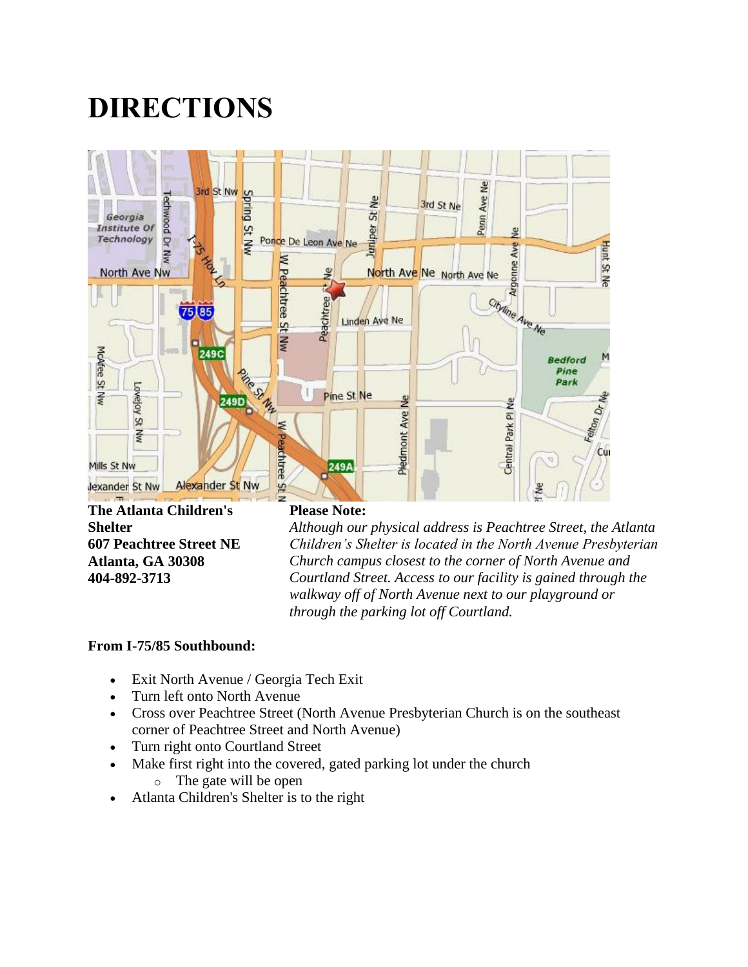# **DIRECTIONS**



**Shelter 607 Peachtree Street NE Atlanta, GA 30308 404-892-3713**

*Although our physical address is Peachtree Street, the Atlanta Children's Shelter is located in the North Avenue Presbyterian Church campus closest to the corner of North Avenue and Courtland Street. Access to our facility is gained through the walkway off of North Avenue next to our playground or through the parking lot off Courtland.*

#### **From I-75/85 Southbound:**

- Exit North Avenue / Georgia Tech Exit
- Turn left onto North Avenue
- Cross over Peachtree Street (North Avenue Presbyterian Church is on the southeast corner of Peachtree Street and North Avenue)
- Turn right onto Courtland Street
- Make first right into the covered, gated parking lot under the church o The gate will be open
- Atlanta Children's Shelter is to the right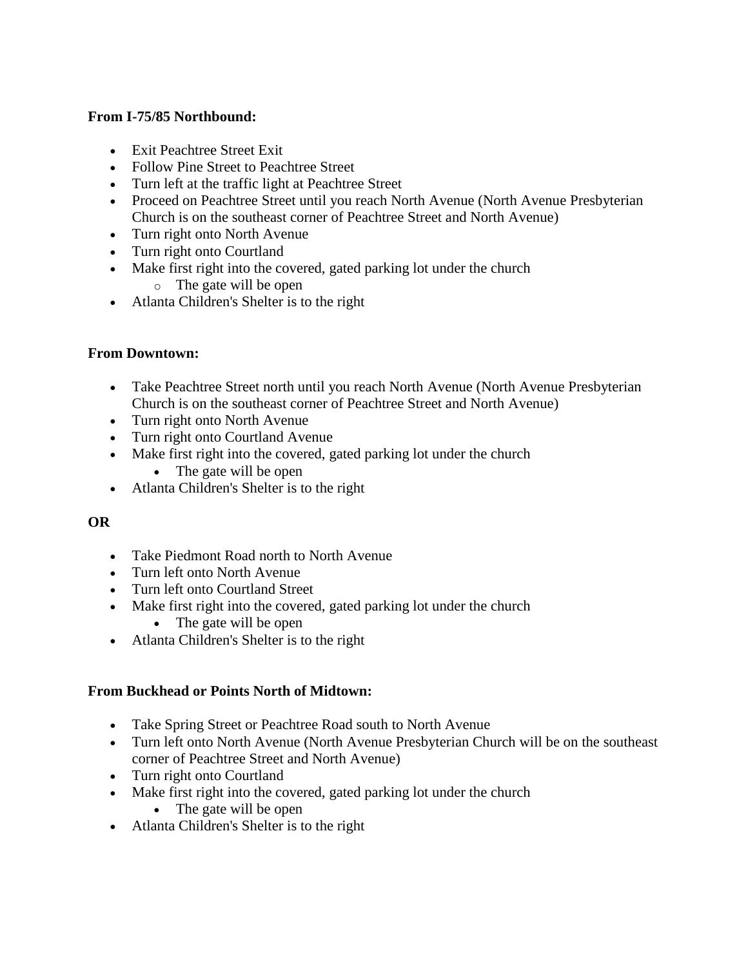#### **From I-75/85 Northbound:**

- Exit Peachtree Street Exit
- Follow Pine Street to Peachtree Street
- Turn left at the traffic light at Peachtree Street
- Proceed on Peachtree Street until you reach North Avenue (North Avenue Presbyterian Church is on the southeast corner of Peachtree Street and North Avenue)
- Turn right onto North Avenue
- Turn right onto Courtland
- Make first right into the covered, gated parking lot under the church
	- o The gate will be open
- Atlanta Children's Shelter is to the right

#### **From Downtown:**

- Take Peachtree Street north until you reach North Avenue (North Avenue Presbyterian Church is on the southeast corner of Peachtree Street and North Avenue)
- Turn right onto North Avenue
- Turn right onto Courtland Avenue
- Make first right into the covered, gated parking lot under the church
	- The gate will be open
- Atlanta Children's Shelter is to the right

#### **OR**

- Take Piedmont Road north to North Avenue
- Turn left onto North Avenue
- Turn left onto Courtland Street
- Make first right into the covered, gated parking lot under the church
	- The gate will be open
- Atlanta Children's Shelter is to the right

## **From Buckhead or Points North of Midtown:**

- Take Spring Street or Peachtree Road south to North Avenue
- Turn left onto North Avenue (North Avenue Presbyterian Church will be on the southeast corner of Peachtree Street and North Avenue)
- Turn right onto Courtland
- Make first right into the covered, gated parking lot under the church
	- The gate will be open
- Atlanta Children's Shelter is to the right